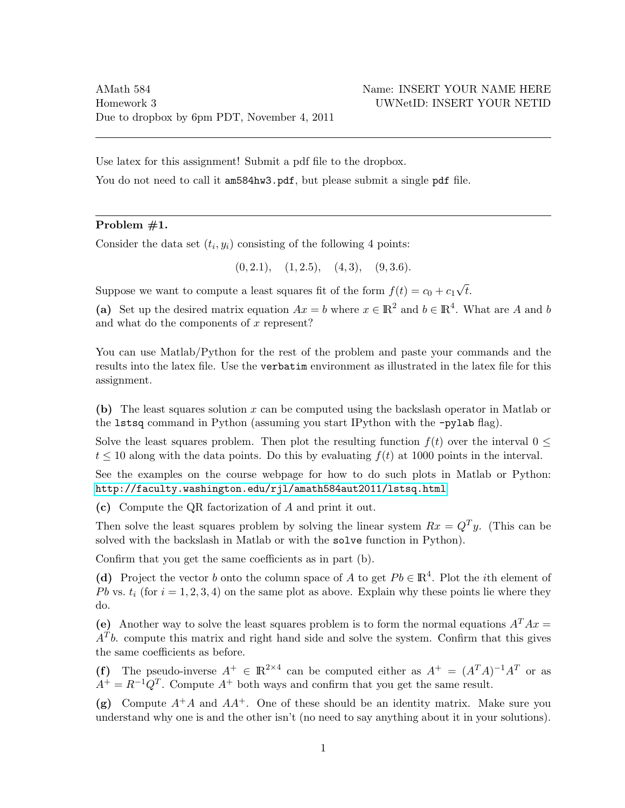Use latex for this assignment! Submit a pdf file to the dropbox.

You do not need to call it am584hw3.pdf, but please submit a single pdf file.

### Problem #1.

Consider the data set  $(t_i, y_i)$  consisting of the following 4 points:

 $(0, 2.1), (1, 2.5), (4, 3), (9, 3.6).$ 

Suppose we want to compute a least squares fit of the form  $f(t) = c_0 + c_1$ √ t.

(a) Set up the desired matrix equation  $Ax = b$  where  $x \in \mathbb{R}^2$  and  $b \in \mathbb{R}^4$ . What are A and b and what do the components of  $x$  represent?

You can use Matlab/Python for the rest of the problem and paste your commands and the results into the latex file. Use the verbatim environment as illustrated in the latex file for this assignment.

(b) The least squares solution x can be computed using the backslash operator in Matlab or the lstsq command in Python (assuming you start IPython with the -pylab flag).

Solve the least squares problem. Then plot the resulting function  $f(t)$  over the interval  $0 \leq$  $t \leq 10$  along with the data points. Do this by evaluating  $f(t)$  at 1000 points in the interval.

See the examples on the course webpage for how to do such plots in Matlab or Python: <http://faculty.washington.edu/rjl/amath584aut2011/lstsq.html>

(c) Compute the QR factorization of A and print it out.

Then solve the least squares problem by solving the linear system  $Rx = Q^T y$ . (This can be solved with the backslash in Matlab or with the solve function in Python).

Confirm that you get the same coefficients as in part (b).

(d) Project the vector b onto the column space of A to get  $Pb \in \mathbb{R}^{4}$ . Plot the *i*th element of Pb vs.  $t_i$  (for  $i = 1, 2, 3, 4$ ) on the same plot as above. Explain why these points lie where they do.

(e) Another way to solve the least squares problem is to form the normal equations  $A<sup>T</sup> A x =$  $A<sup>T</sup>b$  compute this matrix and right hand side and solve the system. Confirm that this gives the same coefficients as before.

(f) The pseudo-inverse  $A^+ \in \mathbb{R}^{2 \times 4}$  can be computed either as  $A^+ = (A^T A)^{-1} A^T$  or as  $A^+ = R^{-1}Q^T$ . Compute  $A^+$  both ways and confirm that you get the same result.

(g) Compute  $A^+A$  and  $AA^+$ . One of these should be an identity matrix. Make sure you understand why one is and the other isn't (no need to say anything about it in your solutions).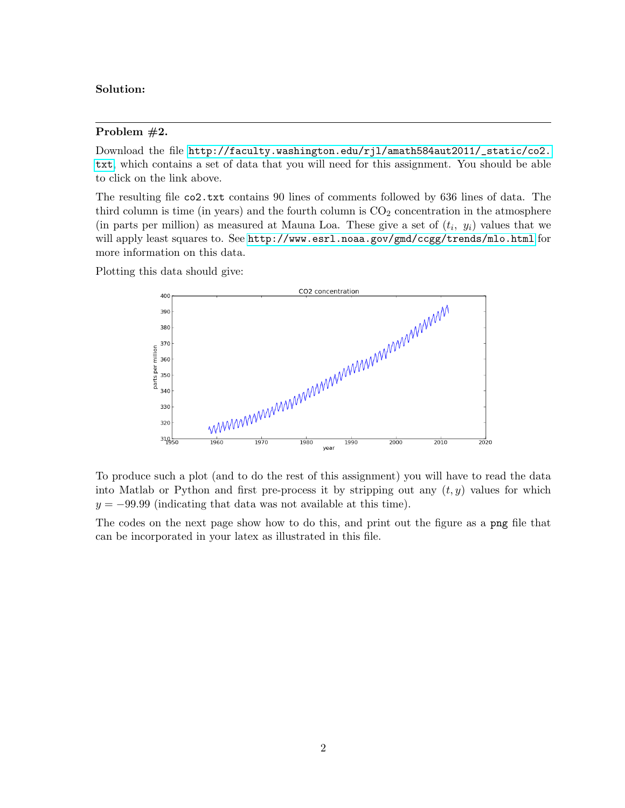# Solution:

#### Problem #2.

Download the file [http://faculty.washington.edu/rjl/amath584aut2011/\\_static/co2.](http://faculty.washington.edu/rjl/amath584aut2011/_static/co2.txt) [txt](http://faculty.washington.edu/rjl/amath584aut2011/_static/co2.txt), which contains a set of data that you will need for this assignment. You should be able to click on the link above.

The resulting file co2.txt contains 90 lines of comments followed by 636 lines of data. The third column is time (in years) and the fourth column is  $CO<sub>2</sub>$  concentration in the atmosphere (in parts per million) as measured at Mauna Loa. These give a set of  $(t_i, y_i)$  values that we will apply least squares to. See <http://www.esrl.noaa.gov/gmd/ccgg/trends/mlo.html> for more information on this data.

Plotting this data should give:



To produce such a plot (and to do the rest of this assignment) you will have to read the data into Matlab or Python and first pre-process it by stripping out any  $(t, y)$  values for which  $y = -99.99$  (indicating that data was not available at this time).

The codes on the next page show how to do this, and print out the figure as a png file that can be incorporated in your latex as illustrated in this file.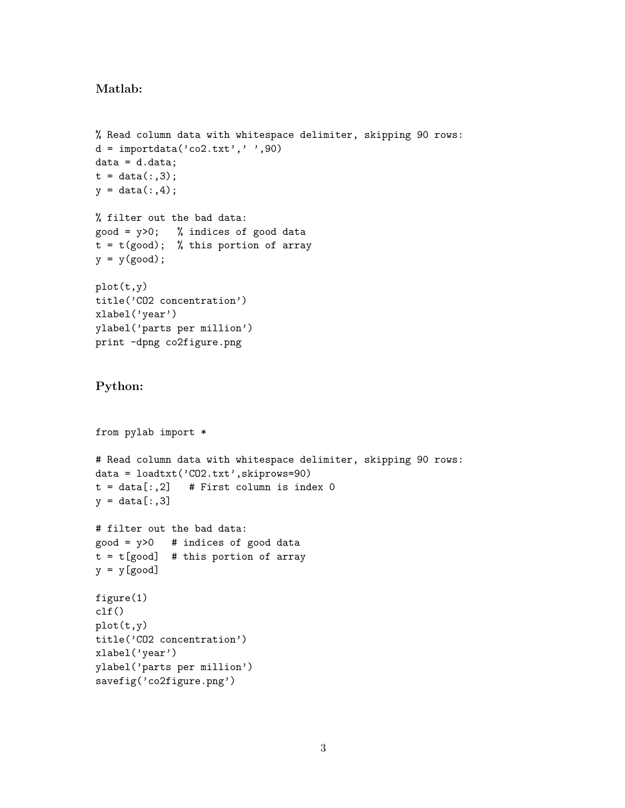## Matlab:

```
% Read column data with whitespace delimiter, skipping 90 rows:
d = importdata('co2.txt', ' ', 90)data = d.data;
t = data(:,3);y = data(:, 4);% filter out the bad data:
good = y>0; % indices of good data
t = t(good); % this portion of array
y = y(good);
plot(t,y)
title('CO2 concentration')
xlabel('year')
ylabel('parts per million')
print -dpng co2figure.png
Python:
from pylab import *
# Read column data with whitespace delimiter, skipping 90 rows:
data = loadtxt('CO2.txt',skiprows=90)
t = data[:, 2] # First column is index 0
y = data[:, 3]# filter out the bad data:
good = y > 0 # indices of good data
t = t[good] # this portion of array
y = y[good]figure(1)
clf()
plot(t,y)
title('CO2 concentration')
xlabel('year')
ylabel('parts per million')
savefig('co2figure.png')
```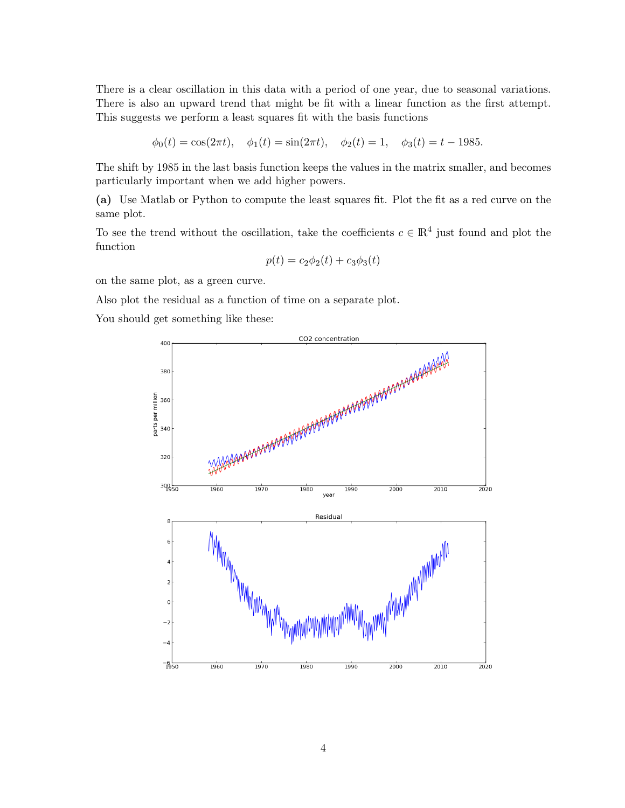There is a clear oscillation in this data with a period of one year, due to seasonal variations. There is also an upward trend that might be fit with a linear function as the first attempt. This suggests we perform a least squares fit with the basis functions

 $\phi_0(t) = \cos(2\pi t), \quad \phi_1(t) = \sin(2\pi t), \quad \phi_2(t) = 1, \quad \phi_3(t) = t - 1985.$ 

The shift by 1985 in the last basis function keeps the values in the matrix smaller, and becomes particularly important when we add higher powers.

(a) Use Matlab or Python to compute the least squares fit. Plot the fit as a red curve on the same plot.

To see the trend without the oscillation, take the coefficients  $c \in \mathbb{R}^4$  just found and plot the function

$$
p(t) = c_2 \phi_2(t) + c_3 \phi_3(t)
$$

on the same plot, as a green curve.

Also plot the residual as a function of time on a separate plot.

You should get something like these: